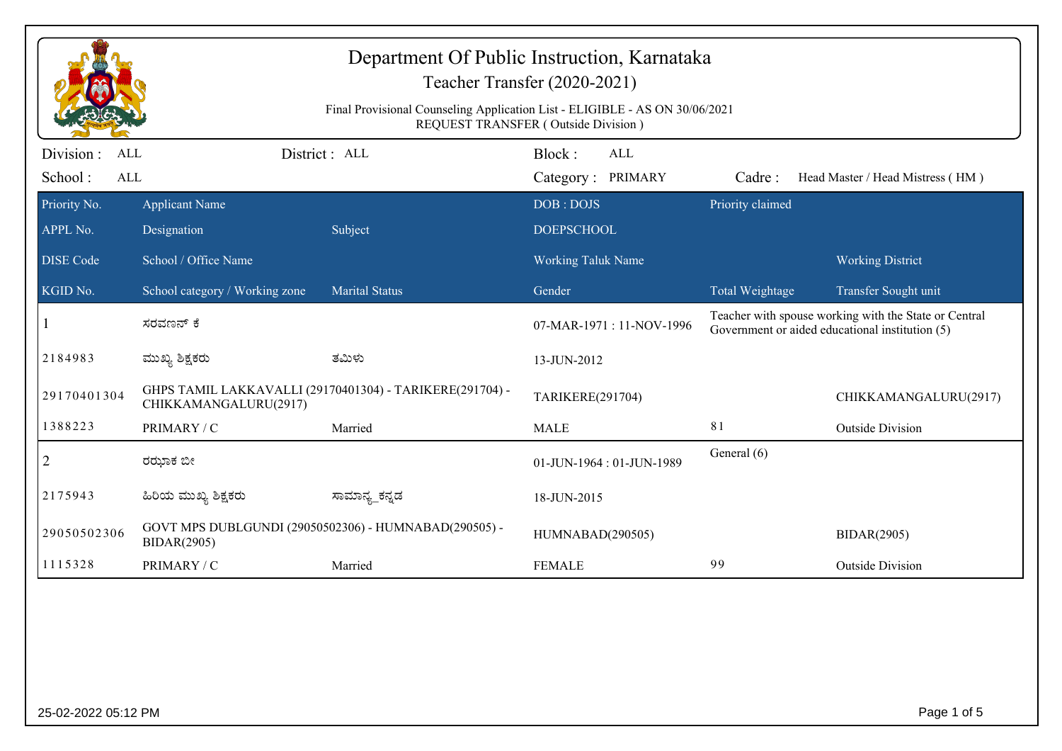| Department Of Public Instruction, Karnataka<br>Teacher Transfer (2020-2021)                                        |                                      |                                                          |                                           |                                                                                                          |                                  |  |  |  |
|--------------------------------------------------------------------------------------------------------------------|--------------------------------------|----------------------------------------------------------|-------------------------------------------|----------------------------------------------------------------------------------------------------------|----------------------------------|--|--|--|
| Final Provisional Counseling Application List - ELIGIBLE - AS ON 30/06/2021<br>REQUEST TRANSFER (Outside Division) |                                      |                                                          |                                           |                                                                                                          |                                  |  |  |  |
| Division :<br><b>ALL</b><br>School:<br><b>ALL</b>                                                                  |                                      | District: ALL                                            | Block:<br><b>ALL</b><br>Category: PRIMARY | Cadre:                                                                                                   | Head Master / Head Mistress (HM) |  |  |  |
| Priority No.<br>APPL No.                                                                                           | <b>Applicant Name</b><br>Designation | Subject                                                  | DOB: DOJS<br><b>DOEPSCHOOL</b>            | Priority claimed                                                                                         |                                  |  |  |  |
| <b>DISE</b> Code                                                                                                   | School / Office Name                 |                                                          | <b>Working Taluk Name</b>                 |                                                                                                          | <b>Working District</b>          |  |  |  |
| KGID No.                                                                                                           | School category / Working zone       | <b>Marital Status</b>                                    | Gender                                    | Total Weightage                                                                                          | Transfer Sought unit             |  |  |  |
|                                                                                                                    | ಸರವಣನ್ ಕೆ                            |                                                          | 07-MAR-1971: 11-NOV-1996                  | Teacher with spouse working with the State or Central<br>Government or aided educational institution (5) |                                  |  |  |  |
| 2184983                                                                                                            | ಮುಖ್ಯ ಶಿಕ್ಷಕರು                       | ತಮಿಳು                                                    | 13-JUN-2012                               |                                                                                                          |                                  |  |  |  |
| 29170401304                                                                                                        | CHIKKAMANGALURU(2917)                | GHPS TAMIL LAKKAVALLI (29170401304) - TARIKERE(291704) - |                                           |                                                                                                          | CHIKKAMANGALURU(2917)            |  |  |  |
| 1388223                                                                                                            | PRIMARY / C                          | Married                                                  | <b>MALE</b>                               | 81                                                                                                       | <b>Outside Division</b>          |  |  |  |
| $\overline{2}$                                                                                                     | ರಝಾಕ ಬೀ                              |                                                          | 01-JUN-1964: 01-JUN-1989                  | General (6)                                                                                              |                                  |  |  |  |
| 2175943                                                                                                            | ಹಿರಿಯ ಮುಖ್ಯ ಶಿಕ್ಷಕರು                 | ಸಾಮಾನ್ಯ_ಕನ್ನಡ                                            | 18-JUN-2015                               |                                                                                                          |                                  |  |  |  |
| 29050502306                                                                                                        | <b>BIDAR(2905)</b>                   | GOVT MPS DUBLGUNDI (29050502306) - HUMNABAD(290505) -    | HUMNABAD(290505)                          |                                                                                                          | <b>BIDAR(2905)</b>               |  |  |  |
| 1115328                                                                                                            | PRIMARY / C                          | Married                                                  | <b>FEMALE</b>                             | 99                                                                                                       | <b>Outside Division</b>          |  |  |  |
|                                                                                                                    |                                      |                                                          |                                           |                                                                                                          |                                  |  |  |  |
|                                                                                                                    |                                      |                                                          |                                           |                                                                                                          |                                  |  |  |  |
| 25-02-2022 05:12 PM                                                                                                |                                      |                                                          |                                           |                                                                                                          | Page 1 of 5                      |  |  |  |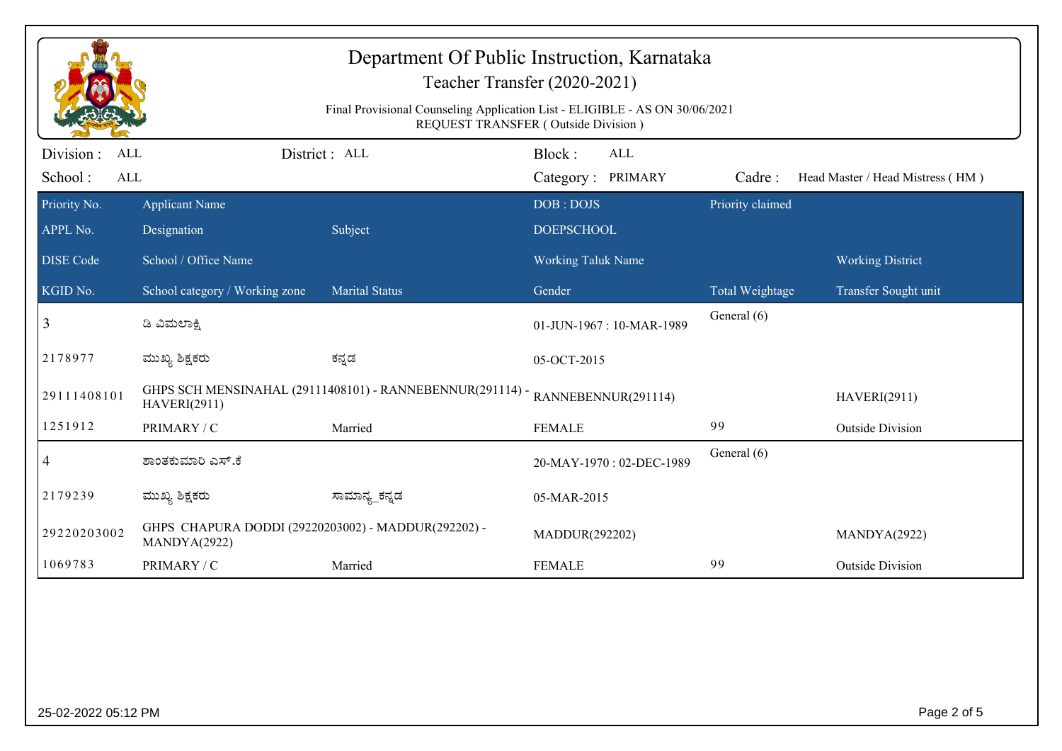| Department Of Public Instruction, Karnataka<br>Teacher Transfer (2020-2021)                                        |                                                                     |                                                           |                                    |                        |                                  |  |  |  |
|--------------------------------------------------------------------------------------------------------------------|---------------------------------------------------------------------|-----------------------------------------------------------|------------------------------------|------------------------|----------------------------------|--|--|--|
| Final Provisional Counseling Application List - ELIGIBLE - AS ON 30/06/2021<br>REQUEST TRANSFER (Outside Division) |                                                                     |                                                           |                                    |                        |                                  |  |  |  |
| Division :<br><b>ALL</b><br>School:<br><b>ALL</b>                                                                  |                                                                     | District: ALL                                             | Block:<br>ALL<br>Category: PRIMARY | Cadre:                 | Head Master / Head Mistress (HM) |  |  |  |
| Priority No.<br>APPL No.                                                                                           | <b>Applicant Name</b><br>Designation                                | Subject                                                   | DOB: DOJS<br><b>DOEPSCHOOL</b>     | Priority claimed       |                                  |  |  |  |
| <b>DISE Code</b>                                                                                                   | School / Office Name                                                |                                                           | Working Taluk Name                 |                        | <b>Working District</b>          |  |  |  |
| KGID No.                                                                                                           | School category / Working zone                                      | <b>Marital Status</b>                                     | Gender                             | <b>Total Weightage</b> | Transfer Sought unit             |  |  |  |
| 3                                                                                                                  | ಡಿ ವಿಮಲಾಕ್ಷಿ                                                        |                                                           | 01-JUN-1967: 10-MAR-1989           | General (6)            |                                  |  |  |  |
| 2178977                                                                                                            | ಮುಖ್ಯ ಶಿಕ್ಷಕರು                                                      | ಕನ್ನಡ                                                     | 05-OCT-2015                        |                        |                                  |  |  |  |
| 29111408101                                                                                                        | <b>HAVERI(2911)</b>                                                 | GHPS SCH MENSINAHAL (29111408101) - RANNEBENNUR(291114) - | RANNEBENNUR(291114)                | <b>HAVERI(2911)</b>    |                                  |  |  |  |
| 1251912                                                                                                            | PRIMARY / C                                                         | Married                                                   | <b>FEMALE</b>                      | 99                     | <b>Outside Division</b>          |  |  |  |
| $\overline{4}$                                                                                                     | ಶಾಂತಕುಮಾರಿ ಎಸ್.ಕೆ                                                   |                                                           | 20-MAY-1970: 02-DEC-1989           | General (6)            |                                  |  |  |  |
| 2179239                                                                                                            | ಮುಖ್ಯ ಶಿಕ್ಷಕರು                                                      | ಸಾಮಾನ್ಯ_ಕನ್ನಡ                                             | 05-MAR-2015                        |                        |                                  |  |  |  |
| 29220203002                                                                                                        | GHPS CHAPURA DODDI (29220203002) - MADDUR(292202) -<br>MANDYA(2922) |                                                           | MADDUR(292202)                     |                        | MANDYA(2922)                     |  |  |  |
| 1069783                                                                                                            | PRIMARY / C                                                         | Married                                                   | <b>FEMALE</b>                      | 99                     | <b>Outside Division</b>          |  |  |  |
|                                                                                                                    |                                                                     |                                                           |                                    |                        |                                  |  |  |  |
| 25-02-2022 05:12 PM                                                                                                |                                                                     |                                                           |                                    |                        | Page 2 of 5                      |  |  |  |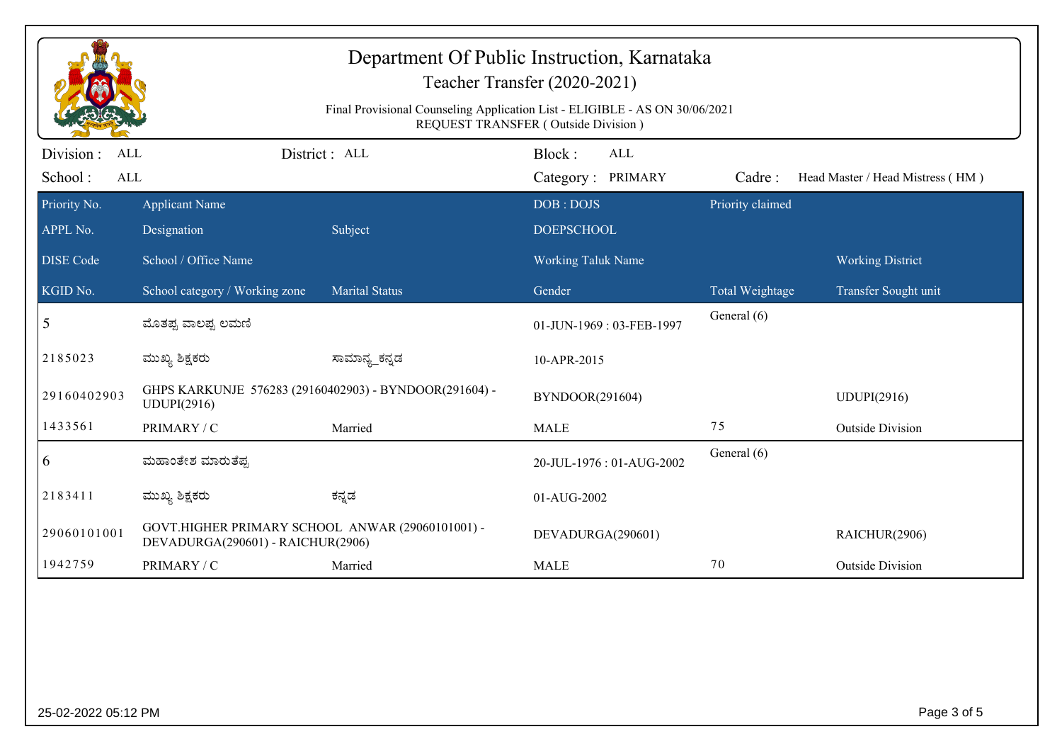| Department Of Public Instruction, Karnataka<br>Teacher Transfer (2020-2021)<br>Final Provisional Counseling Application List - ELIGIBLE - AS ON 30/06/2021<br>REQUEST TRANSFER (Outside Division) |                                                                                       |                |                                                |            |                  |                                  |  |
|---------------------------------------------------------------------------------------------------------------------------------------------------------------------------------------------------|---------------------------------------------------------------------------------------|----------------|------------------------------------------------|------------|------------------|----------------------------------|--|
| Division :<br><b>ALL</b>                                                                                                                                                                          |                                                                                       | District: ALL  | Block:                                         | <b>ALL</b> |                  |                                  |  |
| School:<br>ALL                                                                                                                                                                                    |                                                                                       |                | Category: PRIMARY                              |            | Cadre:           | Head Master / Head Mistress (HM) |  |
| Priority No.<br>APPL No.                                                                                                                                                                          | <b>Applicant Name</b><br>Designation                                                  | Subject        | DOB: DOJS                                      |            | Priority claimed |                                  |  |
| <b>DISE Code</b>                                                                                                                                                                                  | School / Office Name                                                                  |                | <b>DOEPSCHOOL</b><br><b>Working Taluk Name</b> |            |                  | <b>Working District</b>          |  |
| KGID No.                                                                                                                                                                                          | School category / Working zone                                                        | Marital Status | Gender                                         |            | Total Weightage  | Transfer Sought unit             |  |
| 5                                                                                                                                                                                                 | ಮೊತಪ್ಪ ವಾಲಪ್ಪ ಲಮಣಿ                                                                    |                | 01-JUN-1969: 03-FEB-1997                       |            | General (6)      |                                  |  |
| 2185023                                                                                                                                                                                           | ಮುಖ್ಯ ಶಿಕ್ಷಕರು                                                                        | ಸಾಮಾನ್ಯ_ಕನ್ನಡ  | 10-APR-2015                                    |            |                  |                                  |  |
| 29160402903                                                                                                                                                                                       | GHPS KARKUNJE 576283 (29160402903) - BYNDOOR(291604) -<br>UDUPI(2916)                 |                | BYNDOOR(291604)                                |            |                  | UDUPI(2916)                      |  |
| 1433561                                                                                                                                                                                           | PRIMARY / C                                                                           | Married        | <b>MALE</b>                                    |            | 75               | <b>Outside Division</b>          |  |
| 6                                                                                                                                                                                                 | ಮಹಾಂತೇಶ ಮಾರುತೆಪ್ಪ                                                                     |                | 20-JUL-1976: 01-AUG-2002                       |            | General (6)      |                                  |  |
| 2183411                                                                                                                                                                                           | ಮುಖ್ಯ ಶಿಕ್ಷಕರು                                                                        | ಕನ್ನಡ          | 01-AUG-2002                                    |            |                  |                                  |  |
| 29060101001                                                                                                                                                                                       | GOVT.HIGHER PRIMARY SCHOOL ANWAR (29060101001) -<br>DEVADURGA(290601) - RAICHUR(2906) |                | DEVADURGA(290601)                              |            |                  | RAICHUR(2906)                    |  |
| 1942759                                                                                                                                                                                           | PRIMARY / C                                                                           | Married        | <b>MALE</b>                                    |            | 70               | <b>Outside Division</b>          |  |
|                                                                                                                                                                                                   |                                                                                       |                |                                                |            |                  |                                  |  |
| Page 3 of 5<br>25-02-2022 05:12 PM                                                                                                                                                                |                                                                                       |                |                                                |            |                  |                                  |  |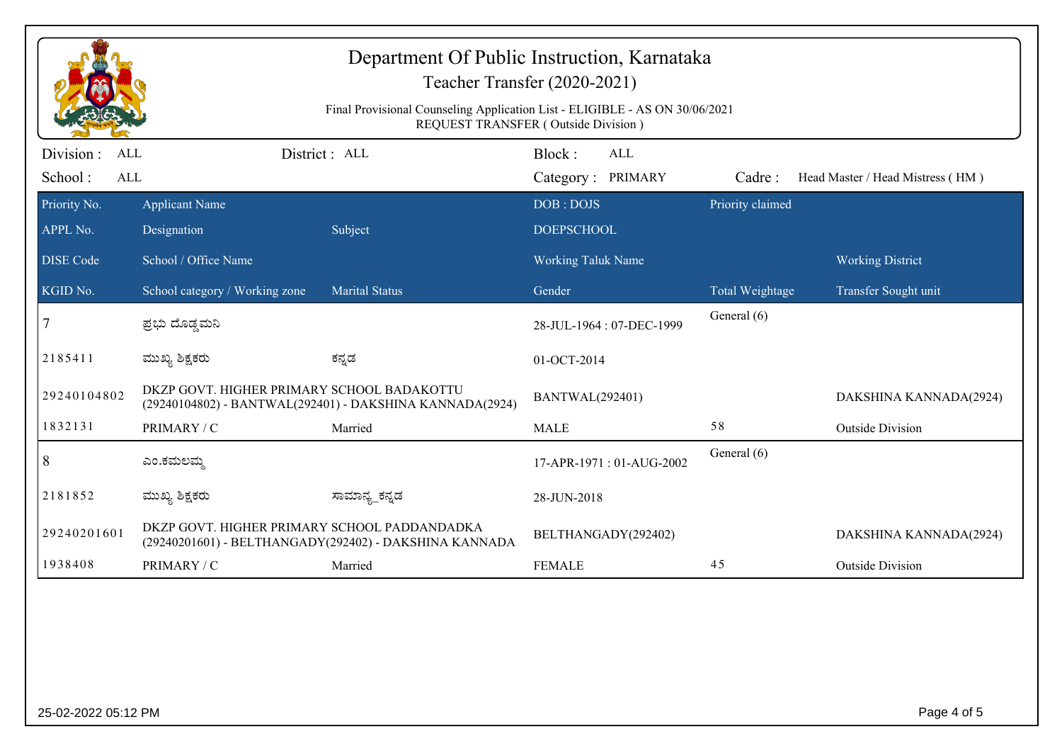| Department Of Public Instruction, Karnataka<br>Teacher Transfer (2020-2021)<br>Final Provisional Counseling Application List - ELIGIBLE - AS ON 30/06/2021<br>REQUEST TRANSFER (Outside Division) |                                                                                                        |                       |                                |            |                  |                                  |  |
|---------------------------------------------------------------------------------------------------------------------------------------------------------------------------------------------------|--------------------------------------------------------------------------------------------------------|-----------------------|--------------------------------|------------|------------------|----------------------------------|--|
| Division :<br><b>ALL</b><br>School:<br><b>ALL</b>                                                                                                                                                 |                                                                                                        | District : ALL        | Block:<br>Category: PRIMARY    | <b>ALL</b> | Cadre:           | Head Master / Head Mistress (HM) |  |
| Priority No.<br>APPL No.                                                                                                                                                                          | <b>Applicant Name</b><br>Designation                                                                   | Subject               | DOB: DOJS<br><b>DOEPSCHOOL</b> |            | Priority claimed |                                  |  |
| <b>DISE Code</b>                                                                                                                                                                                  | School / Office Name                                                                                   |                       | <b>Working Taluk Name</b>      |            |                  | <b>Working District</b>          |  |
| KGID No.                                                                                                                                                                                          | School category / Working zone                                                                         | <b>Marital Status</b> | Gender                         |            | Total Weightage  | Transfer Sought unit             |  |
|                                                                                                                                                                                                   | ಪ್ರಭು ದೊಡ್ಡಮನಿ                                                                                         |                       | 28-JUL-1964: 07-DEC-1999       |            | General (6)      |                                  |  |
| 2185411                                                                                                                                                                                           | ಮುಖ್ಯ ಶಿಕ್ಷಕರು                                                                                         | ಕನ್ನಡ                 | 01-OCT-2014                    |            |                  |                                  |  |
| 29240104802                                                                                                                                                                                       | DKZP GOVT. HIGHER PRIMARY SCHOOL BADAKOTTU<br>(29240104802) - BANTWAL(292401) - DAKSHINA KANNADA(2924) |                       | BANTWAL(292401)                |            |                  | DAKSHINA KANNADA(2924)           |  |
| 1832131                                                                                                                                                                                           | PRIMARY / C                                                                                            | Married               | <b>MALE</b>                    |            | 58               | <b>Outside Division</b>          |  |
| $\vert 8$                                                                                                                                                                                         | ಎಂ.ಕಮಲಮ್ಮ                                                                                              |                       | 17-APR-1971: 01-AUG-2002       |            | General (6)      |                                  |  |
| 2181852                                                                                                                                                                                           | ಮುಖ್ಯ ಶಿಕ್ಷಕರು                                                                                         | ಸಾಮಾನ್ಯ_ಕನ್ನಡ         | 28-JUN-2018                    |            |                  |                                  |  |
| 29240201601                                                                                                                                                                                       | DKZP GOVT. HIGHER PRIMARY SCHOOL PADDANDADKA<br>(29240201601) - BELTHANGADY(292402) - DAKSHINA KANNADA |                       | BELTHANGADY(292402)            |            |                  | DAKSHINA KANNADA(2924)           |  |
| 1938408                                                                                                                                                                                           | PRIMARY / C                                                                                            | Married               | <b>FEMALE</b>                  |            | 45               | <b>Outside Division</b>          |  |
|                                                                                                                                                                                                   |                                                                                                        |                       |                                |            |                  |                                  |  |
| 25-02-2022 05:12 PM                                                                                                                                                                               |                                                                                                        |                       |                                |            |                  | Page 4 of 5                      |  |